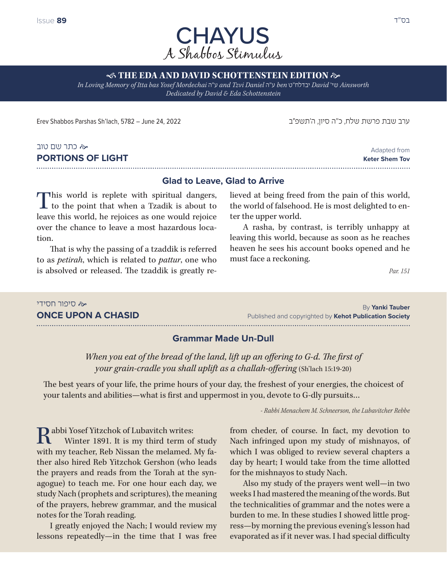

## **S THE EDA AND DAVID SCHOTTENSTEIN EDITION**  $\approx$

*In Loving Memory of Itta bas Yosef Mordechai* ה"ע *and Tzvi Daniel* ה"ע *ben* ט"יבדלח *David* 'שי *Ainsworth Dedicated by David & Eda Schottenstein*

ערב שבת פרשת שלח, כ״ה סיון, ה'תשפ״ב 24, 2022 24, June 24, 2022 24, Zune 24, 2022 ו-Erev Shabbos Parshas Sh'lach

#### כתר שם טוב **PORTIONS OF LIGHT**

Adapted from **Keter Shem Tov** 

## **Glad to Leave, Glad to Arrive**

This world is replete with spiritual dangers, L to the point that when a Tzadik is about to leave this world, he rejoices as one would rejoice over the chance to leave a most hazardous location.

That is why the passing of a tzaddik is referred to as *petirah*, which is related to *pattur*, one who is absolved or released. The tzaddik is greatly relieved at being freed from the pain of this world, the world of falsehood. He is most delighted to enter the upper world.

A rasha, by contrast, is terribly unhappy at leaving this world, because as soon as he reaches heaven he sees his account books opened and he must face a reckoning.

*Par. 151*

#### סיפור חסידי **ONCE UPON A CHASID**

By **Yanki Tauber** Published and copyrighted by **Kehot Publication Society**

## **Grammar Made Un-Dull**

When you eat of the bread of the land, lift up an offering to G-d. The first of *your grain-cradle you shall uplift as a challah-offering* (Sh'lach 15:19-20)

The best years of your life, the prime hours of your day, the freshest of your energies, the choicest of your talents and abilities—what is first and uppermost in you, devote to G-dly pursuits…

*- Rabbi Menachem M. Schneerson, the Lubavitcher Rebbe*

**D** abbi Yosef Yitzchok of Lubavitch writes: Winter 1891. It is my third term of study with my teacher, Reb Nissan the melamed. My father also hired Reb Yitzchok Gershon (who leads the prayers and reads from the Torah at the synagogue) to teach me. For one hour each day, we study Nach (prophets and scriptures), the meaning of the prayers, hebrew grammar, and the musical notes for the Torah reading.

I greatly enjoyed the Nach; I would review my lessons repeatedly—in the time that I was free

from cheder, of course. In fact, my devotion to Nach infringed upon my study of mishnayos, of which I was obliged to review several chapters a day by heart; I would take from the time allotted for the mishnayos to study Nach.

Also my study of the prayers went well—in two weeks I had mastered the meaning of the words. But the technicalities of grammar and the notes were a burden to me. In these studies I showed little progress—by morning the previous evening's lesson had evaporated as if it never was. I had special difficulty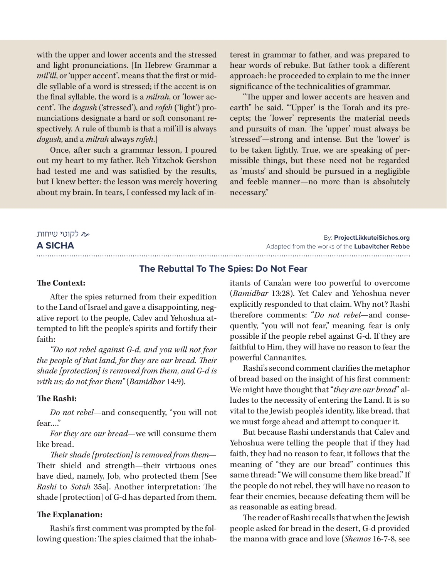with the upper and lower accents and the stressed and light pronunciations. [In Hebrew Grammar a *mil'ill*, or 'upper accent', means that the first or middle syllable of a word is stressed; if the accent is on the final syllable, the word is a *milrah*, or 'lower accent'. The *dogush* ('stressed'), and *rofeh* ('light') pronunciations designate a hard or soft consonant respectively. A rule of thumb is that a mil'ill is always *dogush*, and a *milrah* always *rofeh*.]

Once, after such a grammar lesson, I poured out my heart to my father. Reb Yitzchok Gershon had tested me and was satisfied by the results, but I knew better: the lesson was merely hovering about my brain. In tears, I confessed my lack of interest in grammar to father, and was prepared to hear words of rebuke. But father took a different approach: he proceeded to explain to me the inner significance of the technicalities of grammar.

"The upper and lower accents are heaven and earth" he said. "'Upper' is the Torah and its precepts; the 'lower' represents the material needs and pursuits of man. The 'upper' must always be 'stressed'—strong and intense. But the 'lower' is to be taken lightly. True, we are speaking of permissible things, but these need not be regarded as 'musts' and should be pursued in a negligible and feeble manner—no more than is absolutely necessary."

## לקוטי שיחות **A SICHA**

## 

By: **ProjectLikkuteiSichos.org** Adapted from the works of the **Lubavitcher Rebbe** 

## **The Rebuttal To The Spies: Do Not Fear**

### **The Context:**

After the spies returned from their expedition to the Land of Israel and gave a disappointing, negative report to the people, Calev and Yehoshua attempted to lift the people's spirits and fortify their faith:

*"Do not rebel against G-d, and you will not fear the people of that land, for they are our bread. Their shade [protection] is removed from them, and G-d is with us; do not fear them"* (*Bamidbar* 14:9).

#### **The Rashi:**

*Do not rebel*—and consequently, "you will not fear…."

*For they are our bread*—we will consume them like bread.

*Their shade [protection] is removed from them*— Their shield and strength—their virtuous ones have died, namely, Job, who protected them [See *Rashi* to *Sotah* 35a]. Another interpretation: The shade [protection] of G-d has departed from them.

### **The Explanation:**

Rashi's first comment was prompted by the following question: The spies claimed that the inhabitants of Cana'an were too powerful to overcome (*Bamidbar* 13:28). Yet Calev and Yehoshua never explicitly responded to that claim. Why not? Rashi therefore comments: "*Do not rebel*—and consequently, "you will not fear," meaning, fear is only possible if the people rebel against G-d. If they are faithful to Him, they will have no reason to fear the powerful Cannanites.

Rashi's second comment clarifies the metaphor of bread based on the insight of his first comment: We might have thought that "*they are our bread*" alludes to the necessity of entering the Land. It is so vital to the Jewish people's identity, like bread, that we must forge ahead and attempt to conquer it.

But because Rashi understands that Calev and Yehoshua were telling the people that if they had faith, they had no reason to fear, it follows that the meaning of "they are our bread" continues this same thread: "We will consume them like bread." If the people do not rebel, they will have no reason to fear their enemies, because defeating them will be as reasonable as eating bread.

The reader of Rashi recalls that when the Jewish people asked for bread in the desert, G-d provided the manna with grace and love (*Shemos* 16-7-8, see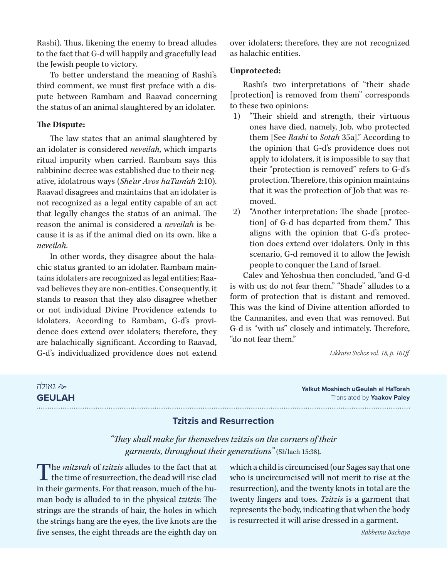Rashi). Thus, likening the enemy to bread alludes to the fact that G-d will happily and gracefully lead the Jewish people to victory.

To better understand the meaning of Rashi's third comment, we must first preface with a dispute between Rambam and Raavad concerning the status of an animal slaughtered by an idolater.

## **The Dispute:**

The law states that an animal slaughtered by an idolater is considered *neveilah*, which imparts ritual impurity when carried. Rambam says this rabbininc decree was established due to their negative, idolatrous ways (*She'ar Avos haTum'ah* 2:10). Raavad disagrees and maintains that an idolater is not recognized as a legal entity capable of an act that legally changes the status of an animal. The reason the animal is considered a *neveilah* is because it is as if the animal died on its own, like a *neveilah*.

In other words, they disagree about the halachic status granted to an idolater. Rambam maintains idolaters are recognized as legal entities; Raavad believes they are non-entities. Consequently, it stands to reason that they also disagree whether or not individual Divine Providence extends to idolaters. According to Rambam, G-d's providence does extend over idolaters; therefore, they are halachically significant. According to Raavad, G-d's individualized providence does not extend

over idolaters; therefore, they are not recognized as halachic entities.

## **Unprotected:**

Rashi's two interpretations of "their shade [protection] is removed from them" corresponds to these two opinions:

- 1) "Their shield and strength, their virtuous ones have died, namely, Job, who protected them [See *Rashi* to *Sotah* 35a]." According to the opinion that G-d's providence does not apply to idolaters, it is impossible to say that their "protection is removed" refers to G-d's protection. Therefore, this opinion maintains that it was the protection of Job that was removed.
- 2) "Another interpretation: The shade [protection] of G-d has departed from them." This aligns with the opinion that G-d's protection does extend over idolaters. Only in this scenario, G-d removed it to allow the Jewish people to conquer the Land of Israel.

Calev and Yehoshua then concluded, "and G-d is with us; do not fear them." "Shade" alludes to a form of protection that is distant and removed. This was the kind of Divine attention afforded to the Cannanites, and even that was removed. But G-d is "with us" closely and intimately. Therefore, "do not fear them."

*Likkutei Sichos vol. 18, p. 161ff.*

 גאולה **GEULAH**

## **Yalkut Moshiach uGeulah al HaTorah** Translated by **Yaakov Paley**

## **Tzitzis and Resurrection**

*"They shall make for themselves tzitzis on the corners of their garments, throughout their generations"* (Sh'lach 15:38)*.*

The *mitzvah* of *tzitzis* alludes to the fact that at  ${\mathsf L}\,$  the time of resurrection, the dead will rise clad in their garments. For that reason, much of the human body is alluded to in the physical *tzitzis*: The strings are the strands of hair, the holes in which the strings hang are the eyes, the five knots are the five senses, the eight threads are the eighth day on

which a child is circumcised (our Sages say that one who is uncircumcised will not merit to rise at the resurrection), and the twenty knots in total are the twenty fingers and toes. *Tzitzis* is a garment that represents the body, indicating that when the body is resurrected it will arise dressed in a garment.